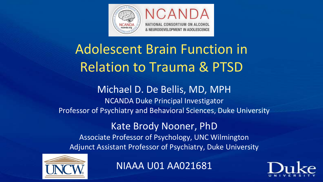

# Adolescent Brain Function in Relation to Trauma & PTSD

## Michael D. De Bellis, MD, MPH NCANDA Duke Principal Investigator Professor of Psychiatry and Behavioral Sciences, Duke University

Kate Brody Nooner, PhD Associate Professor of Psychology, UNC Wilmington Adjunct Assistant Professor of Psychiatry, Duke University



NIAAA U01 AA021681

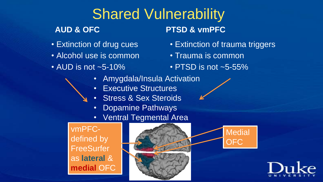# Shared Vulnerability

# **AUD & OFC**

- Extinction of drug cues
- Alcohol use is common
- AUD is not ~5-10%

# **PTSD & vmPFC**

- Extinction of trauma triggers
- Trauma is common
- PTSD is not ~5-55%
- Amygdala/Insula Activation
- Executive Structures
- Stress & Sex Steroids
- Dopamine Pathways
- Ventral Tegmental Area

vmPFCdefined by **FreeSurfer** as **lateral** & **medial** OFC





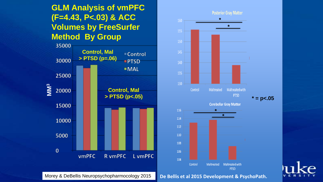## **GLM Analysis of vmPFC (F=4.43, P<.03) & ACC Volumes by FreeSurfer Method By Group**





Morey & DeBellis Neuropsychopharmocology 2015 **De Bellis et al 2015 Development & PsychoPath.**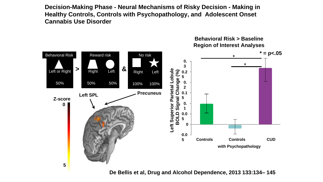**Decision-Making Phase - Neural Mechanisms of Risky Decision - Making in Healthy Controls, Controls with Psychopathology, and Adolescent Onset Cannabis Use Disorder** 



**De Bellis et al, Drug and Alcohol Dependence, 2013 133:134– 145** 

**Behavioral Risk > Baseline**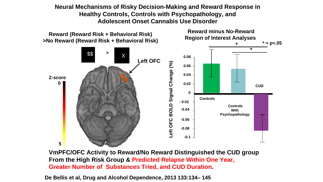**Neural Mechanisms of Risky Decision-Making and Reward Response in Healthy Controls, Controls with Psychopathology, and Adolescent Onset Cannabis Use Disorder** 



**VmPFC/OFC Activity to Reward/No Reward Distinguished the CUD group From the High Risk Group & Predicted Relapse Within One Year, Greater Number of Substances Tried, and CUD Duration.**

**De Bellis et al, Drug and Alcohol Dependence, 2013 133:134– 145**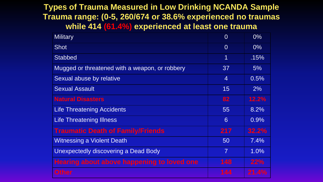#### **Types of Trauma Measured in Low Drinking NCANDA Sample Trauma range: (0-5, 260/674 or 38.6% experienced no traumas while 414 (61.4%) experienced at least one trauma**

| <b>Military</b>                                | $\Omega$       | $0\%$        |
|------------------------------------------------|----------------|--------------|
| <b>Shot</b>                                    | $\Omega$       | $0\%$        |
| <b>Stabbed</b>                                 | $\overline{1}$ | .15%         |
| Mugged or threatened with a weapon, or robbery | 37             | 5%           |
| Sexual abuse by relative                       | $\overline{4}$ | 0.5%         |
| <b>Sexual Assault</b>                          | 15             | 2%           |
| <b>Natural Disasters</b>                       | 82             | 12.2%        |
| <b>Life Threatening Accidents</b>              | 55             | 8.2%         |
| <b>Life Threatening Illness</b>                | 6              | 0.9%         |
| <b>Traumatic Death of Family/Friends</b>       | 217            | 32.2%        |
| <b>Witnessing a Violent Death</b>              | 50             | 7.4%         |
| <b>Unexpectedly discovering a Dead Body</b>    | $\overline{7}$ | 1.0%         |
| Hearing about above happening to loved one     | 148            | 22%          |
| <b>Other</b>                                   | 144            | <b>21.4%</b> |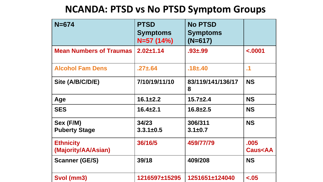# **NCANDA: PTSD vs No PTSD Symptom Groups**

| $N = 674$                               | <b>PTSD</b><br><b>Symptoms</b><br>$N=57(14%)$ | <b>No PTSD</b><br><b>Symptoms</b><br>$(N=617)$ |                                     |
|-----------------------------------------|-----------------------------------------------|------------------------------------------------|-------------------------------------|
| <b>Mean Numbers of Traumas</b>          | $2.02 \pm 1.14$                               | $.93 + .99$                                    | $-.0001$                            |
| <b>Alcohol Fam Dens</b>                 | $.27 \pm .64$                                 | $.18 + .40$                                    | $\cdot$ 1                           |
| Site (A/B/C/D/E)                        | 7/10/19/11/10                                 | 83/119/141/136/17<br>8                         | <b>NS</b>                           |
| Age                                     | $16.1 \pm 2.2$                                | $15.7 + 2.4$                                   | <b>NS</b>                           |
| <b>SES</b>                              | $16.4 \pm 2.1$                                | $16.8 \pm 2.5$                                 | <b>NS</b>                           |
| Sex (F/M)<br><b>Puberty Stage</b>       | 34/23<br>$3.3.1 \pm 0.5$                      | 306/311<br>$3.1 \pm 0.7$                       | <b>NS</b>                           |
| <b>Ethnicity</b><br>(Majority/AA/Asian) | 36/16/5                                       | 459/77/79                                      | .005<br><b>Caus<aa< b=""></aa<></b> |
| <b>Scanner (GE/S)</b>                   | 39/18                                         | 409/208                                        | <b>NS</b>                           |
| Svol (mm3)                              | 1216597±15295                                 | 1251651±124040                                 | $-.05$                              |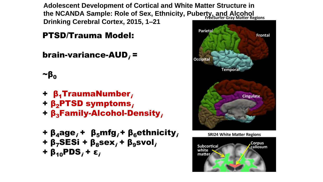**Adolescent Development of Cortical and White Matter Structure in the NCANDA Sample: Role of Sex, Ethnicity, Puberty, and Alcohol Drinking Cerebral Cortex, 2015, 1–21**

## PTSD/Trauma Model:

## brain-variance-AUD $_i$  =

 $\sim$  $\beta_0$ 

- +  $β$ <sub>1</sub>TraumaNumber<sub>i</sub>
- $+ \beta_2$ PTSD symptoms,
- $+ \beta_3$ Family-Alcohol-Density,
- +  $\beta_4$ age; +  $\beta_5$ mfg; +  $\beta_6$ ethnicity; +  $\beta_7$ SESi +  $\beta_8$ sex<sub>i</sub> +  $\beta_9$ svol<sub>i</sub> + β<sub>10</sub>PDS<sub>i</sub> + ε<sub>i</sub>





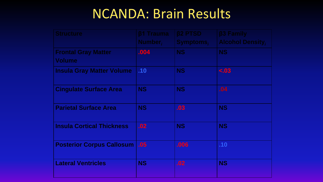# NCANDA: Brain Results

| <b>Structure</b>                            | <b>ß1 Trauma</b><br>Number, | <b>B2 PTSD</b><br>Symptoms, | <b>B3 Family</b><br><b>Alcohol Density,</b> |
|---------------------------------------------|-----------------------------|-----------------------------|---------------------------------------------|
| <b>Frontal Gray Matter</b><br><b>Volume</b> | .004                        | NS                          | <b>NS</b>                                   |
| <b>Insula Gray Matter Volume</b>            | .10                         | <b>NS</b>                   | $\leq .03$                                  |
| <b>Cingulate Surface Area</b>               | <b>NS</b>                   | <b>NS</b>                   | .04                                         |
| <b>Parietal Surface Area</b>                | <b>NS</b>                   | .03                         | <b>NS</b>                                   |
| <b>Insula Cortical Thickness</b>            | .02                         | <b>NS</b>                   | <b>NS</b>                                   |
| <b>Posterior Corpus Callosum</b>            | .05                         | .006                        | .10                                         |
| <b>Lateral Ventricles</b>                   | <b>NS</b>                   | .02                         | <b>NS</b>                                   |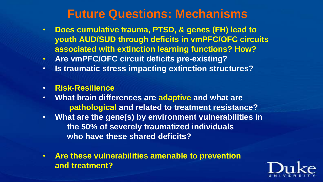# **Future Questions: Mechanisms**

- **Does cumulative trauma, PTSD, & genes (FH) lead to youth AUD/SUD through deficits in vmPFC/OFC circuits associated with extinction learning functions? How?**
- **Are vmPFC/OFC circuit deficits pre-existing?**
- **Is traumatic stress impacting extinction structures?**
- **Risk-Resilience**
- **What brain differences are adaptive and what are pathological and related to treatment resistance?**
- **What are the gene(s) by environment vulnerabilities in the 50% of severely traumatized individuals who have these shared deficits?**
- **Are these vulnerabilities amenable to prevention and treatment?**